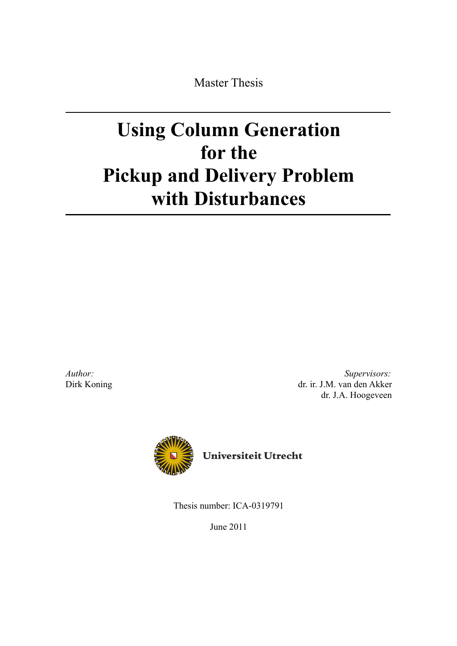Master Thesis

# **Using Column Generation for the Pickup and Delivery Problem with Disturbances**

*Author:* Dirk Koning

*Supervisors:* dr. ir. J.M. van den Akker dr. J.A. Hoogeveen



Thesis number: ICA-0319791

June 2011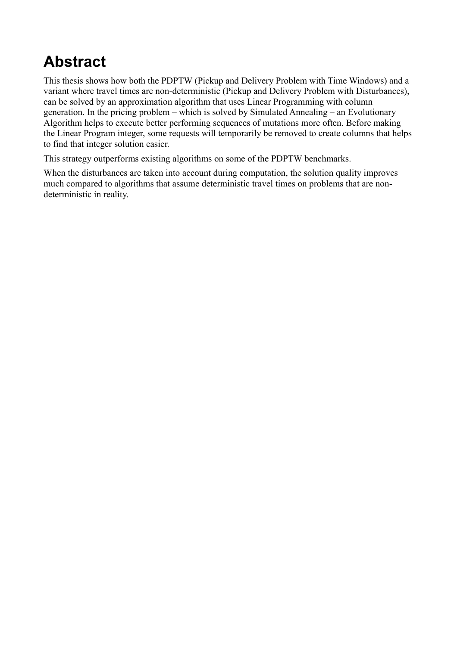# **Abstract**

This thesis shows how both the PDPTW (Pickup and Delivery Problem with Time Windows) and a variant where travel times are non-deterministic (Pickup and Delivery Problem with Disturbances), can be solved by an approximation algorithm that uses Linear Programming with column generation. In the pricing problem – which is solved by Simulated Annealing – an Evolutionary Algorithm helps to execute better performing sequences of mutations more often. Before making the Linear Program integer, some requests will temporarily be removed to create columns that helps to find that integer solution easier.

This strategy outperforms existing algorithms on some of the PDPTW benchmarks.

When the disturbances are taken into account during computation, the solution quality improves much compared to algorithms that assume deterministic travel times on problems that are nondeterministic in reality.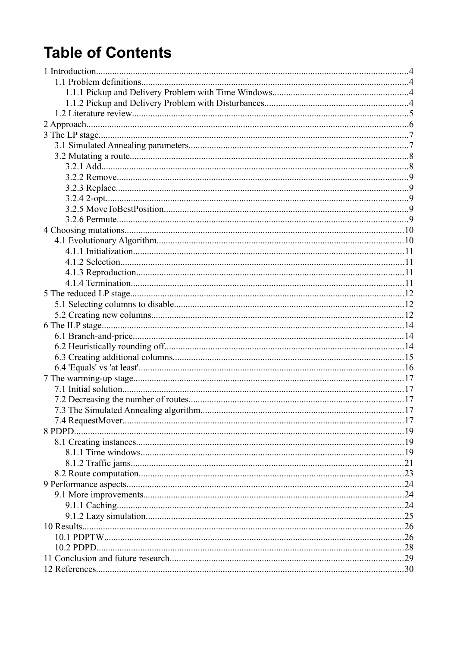# **Table of Contents**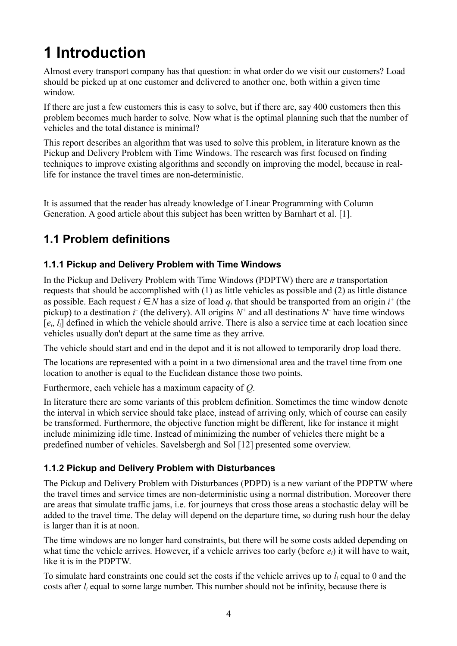# **1 Introduction**

Almost every transport company has that question: in what order do we visit our customers? Load should be picked up at one customer and delivered to another one, both within a given time window.

If there are just a few customers this is easy to solve, but if there are, say 400 customers then this problem becomes much harder to solve. Now what is the optimal planning such that the number of vehicles and the total distance is minimal?

This report describes an algorithm that was used to solve this problem, in literature known as the Pickup and Delivery Problem with Time Windows. The research was first focused on finding techniques to improve existing algorithms and secondly on improving the model, because in reallife for instance the travel times are non-deterministic.

It is assumed that the reader has already knowledge of Linear Programming with Column Generation. A good article about this subject has been written by Barnhart et al. [1].

## **1.1 Problem definitions**

#### **1.1.1 Pickup and Delivery Problem with Time Windows**

In the Pickup and Delivery Problem with Time Windows (PDPTW) there are *n* transportation requests that should be accomplished with (1) as little vehicles as possible and (2) as little distance as possible. Each request  $i \in N$  has a size of load  $q_i$  that should be transported from an origin  $i^+$  (the pickup) to a destination  $\vec{r}$  (the delivery). All origins  $N^+$  and all destinations  $N^-$  have time windows [*ei*, *li*] defined in which the vehicle should arrive. There is also a service time at each location since vehicles usually don't depart at the same time as they arrive.

The vehicle should start and end in the depot and it is not allowed to temporarily drop load there.

The locations are represented with a point in a two dimensional area and the travel time from one location to another is equal to the Euclidean distance those two points.

Furthermore, each vehicle has a maximum capacity of *Q*.

In literature there are some variants of this problem definition. Sometimes the time window denote the interval in which service should take place, instead of arriving only, which of course can easily be transformed. Furthermore, the objective function might be different, like for instance it might include minimizing idle time. Instead of minimizing the number of vehicles there might be a predefined number of vehicles. Savelsbergh and Sol [12] presented some overview.

#### **1.1.2 Pickup and Delivery Problem with Disturbances**

The Pickup and Delivery Problem with Disturbances (PDPD) is a new variant of the PDPTW where the travel times and service times are non-deterministic using a normal distribution. Moreover there are areas that simulate traffic jams, i.e. for journeys that cross those areas a stochastic delay will be added to the travel time. The delay will depend on the departure time, so during rush hour the delay is larger than it is at noon.

The time windows are no longer hard constraints, but there will be some costs added depending on what time the vehicle arrives. However, if a vehicle arrives too early (before *ei*) it will have to wait, like it is in the PDPTW.

To simulate hard constraints one could set the costs if the vehicle arrives up to *li* equal to 0 and the costs after  $l_i$  equal to some large number. This number should not be infinity, because there is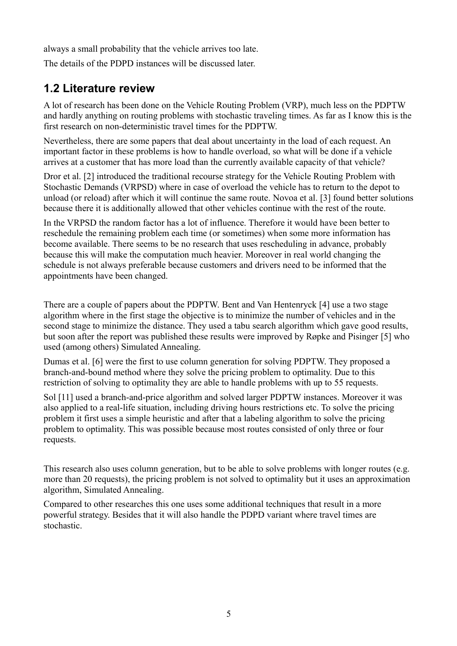always a small probability that the vehicle arrives too late.

The details of the PDPD instances will be discussed later.

### **1.2 Literature review**

A lot of research has been done on the Vehicle Routing Problem (VRP), much less on the PDPTW and hardly anything on routing problems with stochastic traveling times. As far as I know this is the first research on non-deterministic travel times for the PDPTW.

Nevertheless, there are some papers that deal about uncertainty in the load of each request. An important factor in these problems is how to handle overload, so what will be done if a vehicle arrives at a customer that has more load than the currently available capacity of that vehicle?

Dror et al. [2] introduced the traditional recourse strategy for the Vehicle Routing Problem with Stochastic Demands (VRPSD) where in case of overload the vehicle has to return to the depot to unload (or reload) after which it will continue the same route. Novoa et al. [3] found better solutions because there it is additionally allowed that other vehicles continue with the rest of the route.

In the VRPSD the random factor has a lot of influence. Therefore it would have been better to reschedule the remaining problem each time (or sometimes) when some more information has become available. There seems to be no research that uses rescheduling in advance, probably because this will make the computation much heavier. Moreover in real world changing the schedule is not always preferable because customers and drivers need to be informed that the appointments have been changed.

There are a couple of papers about the PDPTW. Bent and Van Hentenryck [4] use a two stage algorithm where in the first stage the objective is to minimize the number of vehicles and in the second stage to minimize the distance. They used a tabu search algorithm which gave good results, but soon after the report was published these results were improved by Røpke and Pisinger [5] who used (among others) Simulated Annealing.

Dumas et al. [6] were the first to use column generation for solving PDPTW. They proposed a branch-and-bound method where they solve the pricing problem to optimality. Due to this restriction of solving to optimality they are able to handle problems with up to 55 requests.

Sol [11] used a branch-and-price algorithm and solved larger PDPTW instances. Moreover it was also applied to a real-life situation, including driving hours restrictions etc. To solve the pricing problem it first uses a simple heuristic and after that a labeling algorithm to solve the pricing problem to optimality. This was possible because most routes consisted of only three or four requests.

This research also uses column generation, but to be able to solve problems with longer routes (e.g. more than 20 requests), the pricing problem is not solved to optimality but it uses an approximation algorithm, Simulated Annealing.

Compared to other researches this one uses some additional techniques that result in a more powerful strategy. Besides that it will also handle the PDPD variant where travel times are stochastic.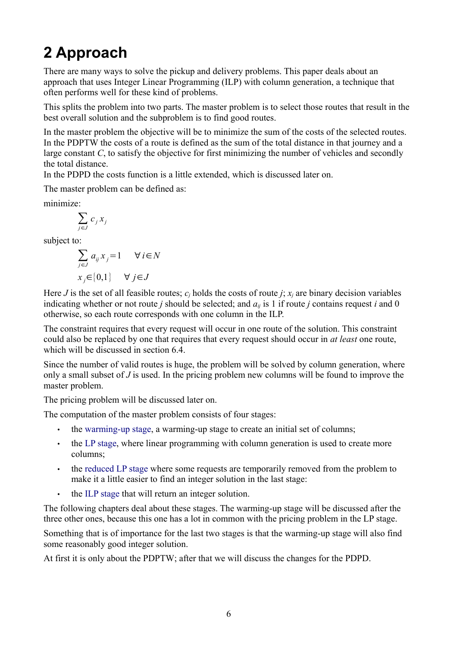# **2 Approach**

There are many ways to solve the pickup and delivery problems. This paper deals about an approach that uses Integer Linear Programming (ILP) with column generation, a technique that often performs well for these kind of problems.

This splits the problem into two parts. The master problem is to select those routes that result in the best overall solution and the subproblem is to find good routes.

In the master problem the objective will be to minimize the sum of the costs of the selected routes. In the PDPTW the costs of a route is defined as the sum of the total distance in that journey and a large constant *C*, to satisfy the objective for first minimizing the number of vehicles and secondly the total distance.

In the PDPD the costs function is a little extended, which is discussed later on.

The master problem can be defined as:

minimize:

$$
\sum_{j\in J} c_j\,x_j
$$

subject to:

$$
\sum_{j \in J} a_{ij} x_j = 1 \quad \forall i \in N
$$
  

$$
x_j \in \{0, 1\} \quad \forall j \in J
$$

Here *J* is the set of all feasible routes;  $c_i$  holds the costs of route *j*;  $x_i$  are binary decision variables indicating whether or not route *j* should be selected; and  $a_{ij}$  is 1 if route *j* contains request *i* and 0 otherwise, so each route corresponds with one column in the ILP.

The constraint requires that every request will occur in one route of the solution. This constraint could also be replaced by one that requires that every request should occur in *at least* one route, which will be discussed in section 6.4.

Since the number of valid routes is huge, the problem will be solved by column generation, where only a small subset of *J* is used. In the pricing problem new columns will be found to improve the master problem.

The pricing problem will be discussed later on.

The computation of the master problem consists of four stages:

- <span id="page-5-0"></span>• the [warming-up stage,](#page-5-0) a warming-up stage to create an initial set of columns;
- the [LP stage,](#page-9-0) where linear programming with column generation is used to create more columns;
- the [reduced LP stage](#page-12-0) where some requests are temporarily removed from the problem to make it a little easier to find an integer solution in the last stage:
- the [ILP stage](#page-12-0) that will return an integer solution.

The following chapters deal about these stages. The warming-up stage will be discussed after the three other ones, because this one has a lot in common with the pricing problem in the LP stage.

Something that is of importance for the last two stages is that the warming-up stage will also find some reasonably good integer solution.

At first it is only about the PDPTW; after that we will discuss the changes for the PDPD.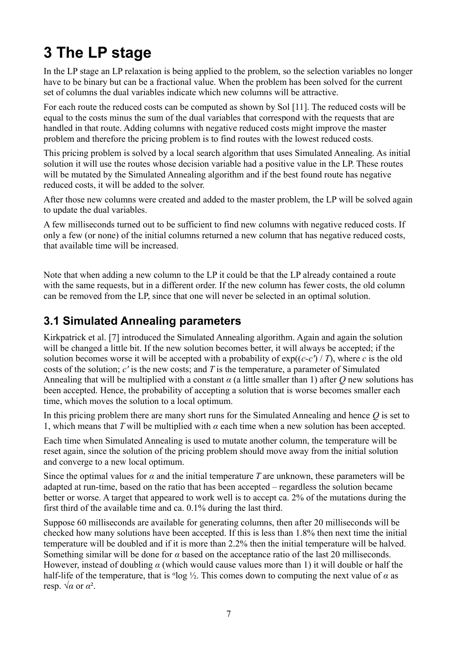# **3 The LP stage**

In the LP stage an LP relaxation is being applied to the problem, so the selection variables no longer have to be binary but can be a fractional value. When the problem has been solved for the current set of columns the dual variables indicate which new columns will be attractive.

For each route the reduced costs can be computed as shown by Sol [11]. The reduced costs will be equal to the costs minus the sum of the dual variables that correspond with the requests that are handled in that route. Adding columns with negative reduced costs might improve the master problem and therefore the pricing problem is to find routes with the lowest reduced costs.

This pricing problem is solved by a local search algorithm that uses Simulated Annealing. As initial solution it will use the routes whose decision variable had a positive value in the LP. These routes will be mutated by the Simulated Annealing algorithm and if the best found route has negative reduced costs, it will be added to the solver.

After those new columns were created and added to the master problem, the LP will be solved again to update the dual variables.

A few milliseconds turned out to be sufficient to find new columns with negative reduced costs. If only a few (or none) of the initial columns returned a new column that has negative reduced costs, that available time will be increased.

Note that when adding a new column to the LP it could be that the LP already contained a route with the same requests, but in a different order. If the new column has fewer costs, the old column can be removed from the LP, since that one will never be selected in an optimal solution.

## **3.1 Simulated Annealing parameters**

Kirkpatrick et al. [7] introduced the Simulated Annealing algorithm. Again and again the solution will be changed a little bit. If the new solution becomes better, it will always be accepted; if the solution becomes worse it will be accepted with a probability of  $exp((c-c') / T)$ , where *c* is the old costs of the solution; *c'* is the new costs; and *T* is the temperature, a parameter of Simulated Annealing that will be multiplied with a constant  $\alpha$  (a little smaller than 1) after  $\hat{O}$  new solutions has been accepted. Hence, the probability of accepting a solution that is worse becomes smaller each time, which moves the solution to a local optimum.

In this pricing problem there are many short runs for the Simulated Annealing and hence *Q* is set to 1, which means that *T* will be multiplied with *α* each time when a new solution has been accepted.

Each time when Simulated Annealing is used to mutate another column, the temperature will be reset again, since the solution of the pricing problem should move away from the initial solution and converge to a new local optimum.

Since the optimal values for  $\alpha$  and the initial temperature *T* are unknown, these parameters will be adapted at run-time, based on the ratio that has been accepted – regardless the solution became better or worse. A target that appeared to work well is to accept ca. 2% of the mutations during the first third of the available time and ca. 0.1% during the last third.

Suppose 60 milliseconds are available for generating columns, then after 20 milliseconds will be checked how many solutions have been accepted. If this is less than 1.8% then next time the initial temperature will be doubled and if it is more than 2.2% then the initial temperature will be halved. Something similar will be done for *α* based on the acceptance ratio of the last 20 milliseconds. However, instead of doubling  $\alpha$  (which would cause values more than 1) it will double or half the half-life of the temperature, that is *<sup>α</sup>* log ½. This comes down to computing the next value of *α* as resp.  $\sqrt{\alpha}$  or  $\alpha^2$ .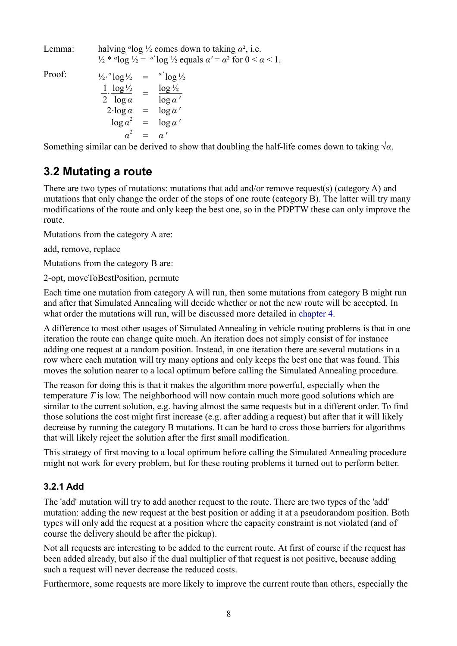Lemma: halving  $\alpha$ log  $\frac{1}{2}$  comes down to taking  $\alpha^2$ , i.e. <sup>1/2</sup> \* *α*<sup>1</sup> log <sup>1</sup>/<sub>2</sub> = *α'* log <sup>1</sup>/<sub>2</sub> equals *α'* = *α*<sup>2</sup> for 0 < *α* < 1.

Proof:

 $\frac{1}{2} \cdot \frac{a}{\log 1} = \frac{a}{\log 1}$ 1 2  $\cdot \frac{\log 1}{2}$ log *α*  $=\frac{\log \frac{1}{2}}{\log \frac{1}{2}}$ log *α '*  $2 \cdot \log a = \log a'$  $\log a^2 = \log a'$ *α* <sup>2</sup> = *α '*

Something similar can be derived to show that doubling the half-life comes down to taking  $\sqrt{\alpha}$ .

### **3.2 Mutating a route**

There are two types of mutations: mutations that add and/or remove request(s) (category A) and mutations that only change the order of the stops of one route (category B). The latter will try many modifications of the route and only keep the best one, so in the PDPTW these can only improve the route.

Mutations from the category A are:

add, remove, replace

Mutations from the category B are:

2-opt, moveToBestPosition, permute

Each time one mutation from category A will run, then some mutations from category B might run and after that Simulated Annealing will decide whether or not the new route will be accepted. In what order the mutations will run, will be discussed more detailed in [chapter 4.](#page-12-0)

A difference to most other usages of Simulated Annealing in vehicle routing problems is that in one iteration the route can change quite much. An iteration does not simply consist of for instance adding one request at a random position. Instead, in one iteration there are several mutations in a row where each mutation will try many options and only keeps the best one that was found. This moves the solution nearer to a local optimum before calling the Simulated Annealing procedure.

The reason for doing this is that it makes the algorithm more powerful, especially when the temperature *T* is low. The neighborhood will now contain much more good solutions which are similar to the current solution, e.g. having almost the same requests but in a different order. To find those solutions the cost might first increase (e.g. after adding a request) but after that it will likely decrease by running the category B mutations. It can be hard to cross those barriers for algorithms that will likely reject the solution after the first small modification.

This strategy of first moving to a local optimum before calling the Simulated Annealing procedure might not work for every problem, but for these routing problems it turned out to perform better.

#### **3.2.1 Add**

The 'add' mutation will try to add another request to the route. There are two types of the 'add' mutation: adding the new request at the best position or adding it at a pseudorandom position. Both types will only add the request at a position where the capacity constraint is not violated (and of course the delivery should be after the pickup).

Not all requests are interesting to be added to the current route. At first of course if the request has been added already, but also if the dual multiplier of that request is not positive, because adding such a request will never decrease the reduced costs.

Furthermore, some requests are more likely to improve the current route than others, especially the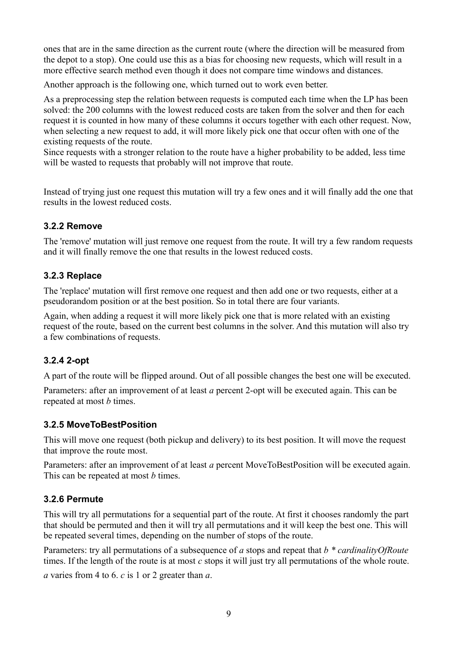ones that are in the same direction as the current route (where the direction will be measured from the depot to a stop). One could use this as a bias for choosing new requests, which will result in a more effective search method even though it does not compare time windows and distances.

Another approach is the following one, which turned out to work even better.

As a preprocessing step the relation between requests is computed each time when the LP has been solved: the 200 columns with the lowest reduced costs are taken from the solver and then for each request it is counted in how many of these columns it occurs together with each other request. Now, when selecting a new request to add, it will more likely pick one that occur often with one of the existing requests of the route.

Since requests with a stronger relation to the route have a higher probability to be added, less time will be wasted to requests that probably will not improve that route.

Instead of trying just one request this mutation will try a few ones and it will finally add the one that results in the lowest reduced costs.

#### **3.2.2 Remove**

The 'remove' mutation will just remove one request from the route. It will try a few random requests and it will finally remove the one that results in the lowest reduced costs.

#### **3.2.3 Replace**

The 'replace' mutation will first remove one request and then add one or two requests, either at a pseudorandom position or at the best position. So in total there are four variants.

Again, when adding a request it will more likely pick one that is more related with an existing request of the route, based on the current best columns in the solver. And this mutation will also try a few combinations of requests.

#### **3.2.4 2-opt**

A part of the route will be flipped around. Out of all possible changes the best one will be executed.

Parameters: after an improvement of at least *a* percent 2-opt will be executed again. This can be repeated at most *b* times.

#### **3.2.5 MoveToBestPosition**

This will move one request (both pickup and delivery) to its best position. It will move the request that improve the route most.

Parameters: after an improvement of at least *a* percent MoveToBestPosition will be executed again. This can be repeated at most *b* times.

#### **3.2.6 Permute**

This will try all permutations for a sequential part of the route. At first it chooses randomly the part that should be permuted and then it will try all permutations and it will keep the best one. This will be repeated several times, depending on the number of stops of the route.

Parameters: try all permutations of a subsequence of *a* stops and repeat that *b \* cardinalityOfRoute* times. If the length of the route is at most *c* stops it will just try all permutations of the whole route.

*a* varies from 4 to 6. *c* is 1 or 2 greater than *a*.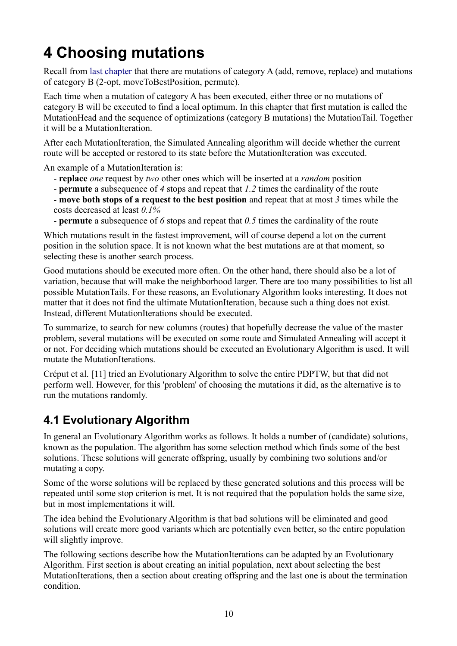# <span id="page-9-0"></span>**4 Choosing mutations**

<span id="page-9-1"></span>Recall from [last chapter](#page-9-1) that there are mutations of category A (add, remove, replace) and mutations of category B (2-opt, moveToBestPosition, permute).

Each time when a mutation of category A has been executed, either three or no mutations of category B will be executed to find a local optimum. In this chapter that first mutation is called the MutationHead and the sequence of optimizations (category B mutations) the MutationTail. Together it will be a MutationIteration.

After each MutationIteration, the Simulated Annealing algorithm will decide whether the current route will be accepted or restored to its state before the MutationIteration was executed.

An example of a MutationIteration is:

- **replace** *one* request by *two* other ones which will be inserted at a *random* position
- **permute** a subsequence of *4* stops and repeat that *1.2* times the cardinality of the route
- **move both stops of a request to the best position** and repeat that at most *3* times while the costs decreased at least *0.1%*
- **permute** a subsequence of *6* stops and repeat that *0.5* times the cardinality of the route

Which mutations result in the fastest improvement, will of course depend a lot on the current position in the solution space. It is not known what the best mutations are at that moment, so selecting these is another search process.

Good mutations should be executed more often. On the other hand, there should also be a lot of variation, because that will make the neighborhood larger. There are too many possibilities to list all possible MutationTails. For these reasons, an Evolutionary Algorithm looks interesting. It does not matter that it does not find the ultimate MutationIteration, because such a thing does not exist. Instead, different MutationIterations should be executed.

To summarize, to search for new columns (routes) that hopefully decrease the value of the master problem, several mutations will be executed on some route and Simulated Annealing will accept it or not. For deciding which mutations should be executed an Evolutionary Algorithm is used. It will mutate the MutationIterations.

Créput et al. [11] tried an Evolutionary Algorithm to solve the entire PDPTW, but that did not perform well. However, for this 'problem' of choosing the mutations it did, as the alternative is to run the mutations randomly.

## **4.1 Evolutionary Algorithm**

In general an Evolutionary Algorithm works as follows. It holds a number of (candidate) solutions, known as the population. The algorithm has some selection method which finds some of the best solutions. These solutions will generate offspring, usually by combining two solutions and/or mutating a copy.

Some of the worse solutions will be replaced by these generated solutions and this process will be repeated until some stop criterion is met. It is not required that the population holds the same size, but in most implementations it will.

The idea behind the Evolutionary Algorithm is that bad solutions will be eliminated and good solutions will create more good variants which are potentially even better, so the entire population will slightly improve.

The following sections describe how the MutationIterations can be adapted by an Evolutionary Algorithm. First section is about creating an initial population, next about selecting the best MutationIterations, then a section about creating offspring and the last one is about the termination condition.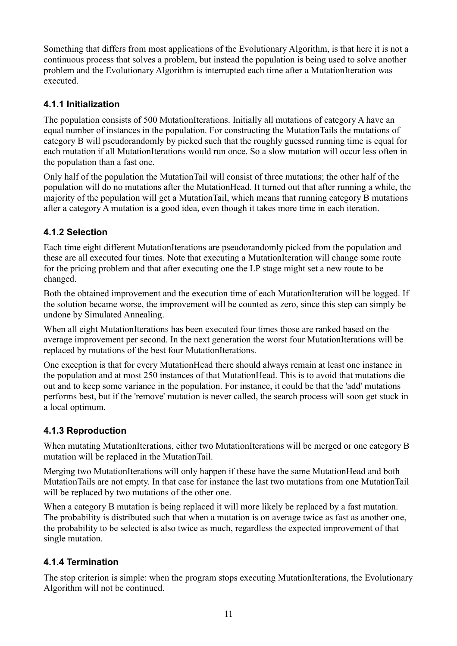Something that differs from most applications of the Evolutionary Algorithm, is that here it is not a continuous process that solves a problem, but instead the population is being used to solve another problem and the Evolutionary Algorithm is interrupted each time after a MutationIteration was executed.

#### **4.1.1 Initialization**

The population consists of 500 MutationIterations. Initially all mutations of category A have an equal number of instances in the population. For constructing the MutationTails the mutations of category B will pseudorandomly by picked such that the roughly guessed running time is equal for each mutation if all MutationIterations would run once. So a slow mutation will occur less often in the population than a fast one.

Only half of the population the MutationTail will consist of three mutations; the other half of the population will do no mutations after the MutationHead. It turned out that after running a while, the majority of the population will get a MutationTail, which means that running category B mutations after a category A mutation is a good idea, even though it takes more time in each iteration.

#### **4.1.2 Selection**

Each time eight different MutationIterations are pseudorandomly picked from the population and these are all executed four times. Note that executing a MutationIteration will change some route for the pricing problem and that after executing one the LP stage might set a new route to be changed.

Both the obtained improvement and the execution time of each MutationIteration will be logged. If the solution became worse, the improvement will be counted as zero, since this step can simply be undone by Simulated Annealing.

When all eight MutationIterations has been executed four times those are ranked based on the average improvement per second. In the next generation the worst four MutationIterations will be replaced by mutations of the best four MutationIterations.

One exception is that for every MutationHead there should always remain at least one instance in the population and at most 250 instances of that MutationHead. This is to avoid that mutations die out and to keep some variance in the population. For instance, it could be that the 'add' mutations performs best, but if the 'remove' mutation is never called, the search process will soon get stuck in a local optimum.

### **4.1.3 Reproduction**

When mutating MutationIterations, either two MutationIterations will be merged or one category B mutation will be replaced in the MutationTail.

Merging two MutationIterations will only happen if these have the same MutationHead and both MutationTails are not empty. In that case for instance the last two mutations from one MutationTail will be replaced by two mutations of the other one.

When a category B mutation is being replaced it will more likely be replaced by a fast mutation. The probability is distributed such that when a mutation is on average twice as fast as another one, the probability to be selected is also twice as much, regardless the expected improvement of that single mutation.

### **4.1.4 Termination**

The stop criterion is simple: when the program stops executing MutationIterations, the Evolutionary Algorithm will not be continued.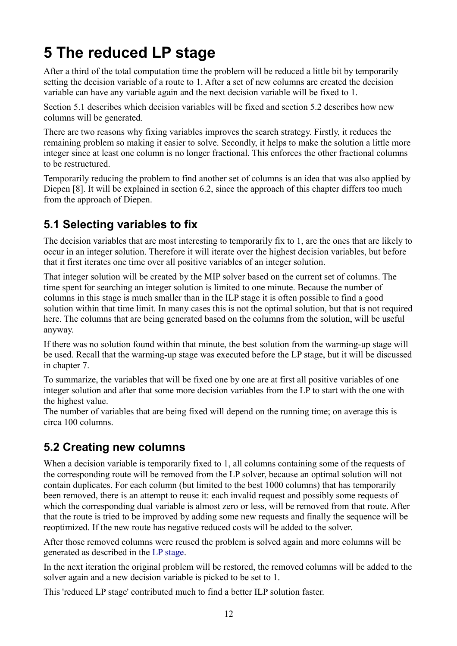# **5 The reduced LP stage**

After a third of the total computation time the problem will be reduced a little bit by temporarily setting the decision variable of a route to 1. After a set of new columns are created the decision variable can have any variable again and the next decision variable will be fixed to 1.

Section 5.1 describes which decision variables will be fixed and section 5.2 describes how new columns will be generated.

There are two reasons why fixing variables improves the search strategy. Firstly, it reduces the remaining problem so making it easier to solve. Secondly, it helps to make the solution a little more integer since at least one column is no longer fractional. This enforces the other fractional columns to be restructured.

Temporarily reducing the problem to find another set of columns is an idea that was also applied by Diepen [8]. It will be explained in section 6.2, since the approach of this chapter differs too much from the approach of Diepen.

## **5.1 Selecting variables to fix**

The decision variables that are most interesting to temporarily fix to 1, are the ones that are likely to occur in an integer solution. Therefore it will iterate over the highest decision variables, but before that it first iterates one time over all positive variables of an integer solution.

That integer solution will be created by the MIP solver based on the current set of columns. The time spent for searching an integer solution is limited to one minute. Because the number of columns in this stage is much smaller than in the ILP stage it is often possible to find a good solution within that time limit. In many cases this is not the optimal solution, but that is not required here. The columns that are being generated based on the columns from the solution, will be useful anyway.

If there was no solution found within that minute, the best solution from the warming-up stage will be used. Recall that the warming-up stage was executed before the LP stage, but it will be discussed in chapter 7.

To summarize, the variables that will be fixed one by one are at first all positive variables of one integer solution and after that some more decision variables from the LP to start with the one with the highest value.

The number of variables that are being fixed will depend on the running time; on average this is circa 100 columns.

### **5.2 Creating new columns**

When a decision variable is temporarily fixed to 1, all columns containing some of the requests of the corresponding route will be removed from the LP solver, because an optimal solution will not contain duplicates. For each column (but limited to the best 1000 columns) that has temporarily been removed, there is an attempt to reuse it: each invalid request and possibly some requests of which the corresponding dual variable is almost zero or less, will be removed from that route. After that the route is tried to be improved by adding some new requests and finally the sequence will be reoptimized. If the new route has negative reduced costs will be added to the solver.

<span id="page-11-0"></span>After those removed columns were reused the problem is solved again and more columns will be generated as described in the [LP stage.](#page-11-0)

In the next iteration the original problem will be restored, the removed columns will be added to the solver again and a new decision variable is picked to be set to 1.

This 'reduced LP stage' contributed much to find a better ILP solution faster.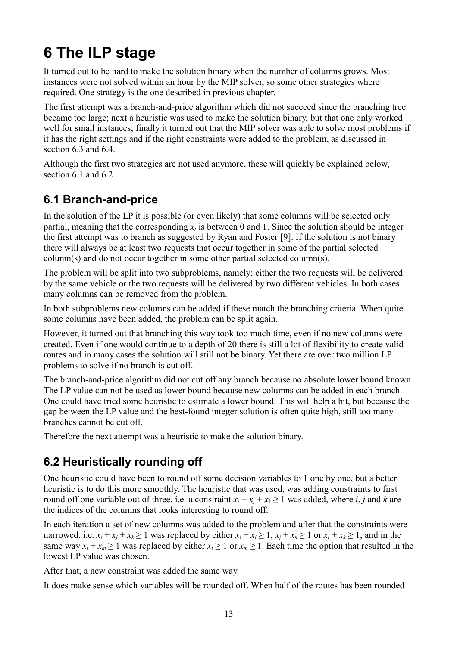# <span id="page-12-0"></span>**6 The ILP stage**

It turned out to be hard to make the solution binary when the number of columns grows. Most instances were not solved within an hour by the MIP solver, so some other strategies where required. One strategy is the one described in previous chapter.

The first attempt was a branch-and-price algorithm which did not succeed since the branching tree became too large; next a heuristic was used to make the solution binary, but that one only worked well for small instances; finally it turned out that the MIP solver was able to solve most problems if it has the right settings and if the right constraints were added to the problem, as discussed in section 6.3 and 6.4.

Although the first two strategies are not used anymore, these will quickly be explained below, section  $6.1$  and  $6.2$ .

## **6.1 Branch-and-price**

In the solution of the LP it is possible (or even likely) that some columns will be selected only partial, meaning that the corresponding  $x_i$  is between 0 and 1. Since the solution should be integer the first attempt was to branch as suggested by Ryan and Foster [9]. If the solution is not binary there will always be at least two requests that occur together in some of the partial selected column(s) and do not occur together in some other partial selected column(s).

The problem will be split into two subproblems, namely: either the two requests will be delivered by the same vehicle or the two requests will be delivered by two different vehicles. In both cases many columns can be removed from the problem.

In both subproblems new columns can be added if these match the branching criteria. When quite some columns have been added, the problem can be split again.

However, it turned out that branching this way took too much time, even if no new columns were created. Even if one would continue to a depth of 20 there is still a lot of flexibility to create valid routes and in many cases the solution will still not be binary. Yet there are over two million LP problems to solve if no branch is cut off.

The branch-and-price algorithm did not cut off any branch because no absolute lower bound known. The LP value can not be used as lower bound because new columns can be added in each branch. One could have tried some heuristic to estimate a lower bound. This will help a bit, but because the gap between the LP value and the best-found integer solution is often quite high, still too many branches cannot be cut off.

Therefore the next attempt was a heuristic to make the solution binary.

## **6.2 Heuristically rounding off**

One heuristic could have been to round off some decision variables to 1 one by one, but a better heuristic is to do this more smoothly. The heuristic that was used, was adding constraints to first round off one variable out of three, i.e. a constraint  $x_i + x_j + x_k \ge 1$  was added, where *i*, *j* and *k* are the indices of the columns that looks interesting to round off.

In each iteration a set of new columns was added to the problem and after that the constraints were narrowed, i.e.  $x_i + x_j + x_k \ge 1$  was replaced by either  $x_i + x_j \ge 1$ ,  $x_i + x_k \ge 1$  or  $x_i + x_k \ge 1$ ; and in the same way  $x_l + x_m \ge 1$  was replaced by either  $x_l \ge 1$  or  $x_m \ge 1$ . Each time the option that resulted in the lowest LP value was chosen.

After that, a new constraint was added the same way.

It does make sense which variables will be rounded off. When half of the routes has been rounded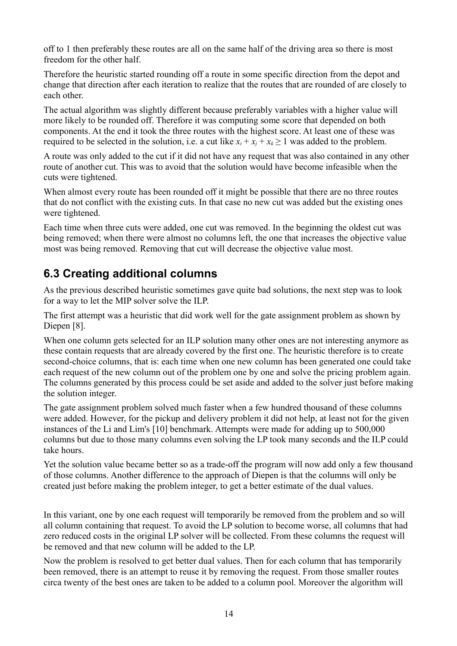off to 1 then preferably these routes are all on the same half of the driving area so there is most freedom for the other half.

Therefore the heuristic started rounding off a route in some specific direction from the depot and change that direction after each iteration to realize that the routes that are rounded of are closely to each other.

The actual algorithm was slightly different because preferably variables with a higher value will more likely to be rounded off. Therefore it was computing some score that depended on both components. At the end it took the three routes with the highest score. At least one of these was required to be selected in the solution, i.e. a cut like  $x_i + x_j + x_k \ge 1$  was added to the problem.

A route was only added to the cut if it did not have any request that was also contained in any other route of another cut. This was to avoid that the solution would have become infeasible when the cuts were tightened.

When almost every route has been rounded off it might be possible that there are no three routes that do not conflict with the existing cuts. In that case no new cut was added but the existing ones were tightened.

Each time when three cuts were added, one cut was removed. In the beginning the oldest cut was being removed; when there were almost no columns left, the one that increases the objective value most was being removed. Removing that cut will decrease the objective value most.

### **6.3 Creating additional columns**

As the previous described heuristic sometimes gave quite bad solutions, the next step was to look for a way to let the MIP solver solve the ILP.

The first attempt was a heuristic that did work well for the gate assignment problem as shown by Diepen [8].

When one column gets selected for an ILP solution many other ones are not interesting anymore as these contain requests that are already covered by the first one. The heuristic therefore is to create second-choice columns, that is: each time when one new column has been generated one could take each request of the new column out of the problem one by one and solve the pricing problem again. The columns generated by this process could be set aside and added to the solver just before making the solution integer.

The gate assignment problem solved much faster when a few hundred thousand of these columns were added. However, for the pickup and delivery problem it did not help, at least not for the given instances of the Li and Lim's [10] benchmark. Attempts were made for adding up to 500,000 columns but due to those many columns even solving the LP took many seconds and the ILP could take hours.

Yet the solution value became better so as a trade-off the program will now add only a few thousand of those columns. Another difference to the approach of Diepen is that the columns will only be created just before making the problem integer, to get a better estimate of the dual values.

In this variant, one by one each request will temporarily be removed from the problem and so will all column containing that request. To avoid the LP solution to become worse, all columns that had zero reduced costs in the original LP solver will be collected. From these columns the request will be removed and that new column will be added to the LP.

Now the problem is resolved to get better dual values. Then for each column that has temporarily been removed, there is an attempt to reuse it by removing the request. From those smaller routes circa twenty of the best ones are taken to be added to a column pool. Moreover the algorithm will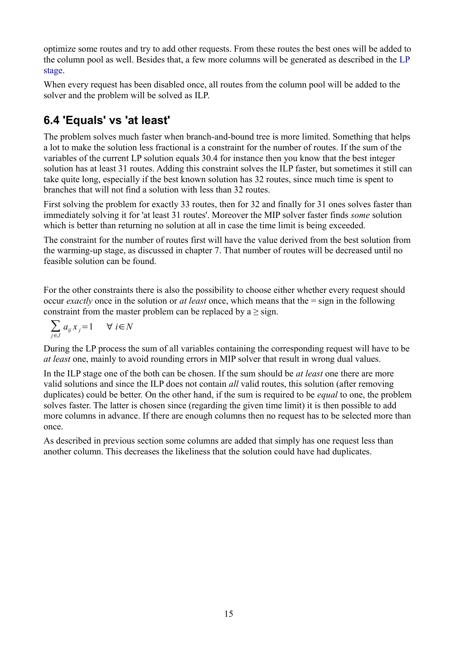optimize some routes and try to add other requests. From these routes the best ones will be added to the column pool as well. Besides that, a few more columns will be generated as described in the [LP](#page-14-0) [stage.](#page-14-0)

<span id="page-14-0"></span>When every request has been disabled once, all routes from the column pool will be added to the solver and the problem will be solved as ILP.

## **6.4 'Equals' vs 'at least'**

The problem solves much faster when branch-and-bound tree is more limited. Something that helps a lot to make the solution less fractional is a constraint for the number of routes. If the sum of the variables of the current LP solution equals 30.4 for instance then you know that the best integer solution has at least 31 routes. Adding this constraint solves the ILP faster, but sometimes it still can take quite long, especially if the best known solution has 32 routes, since much time is spent to branches that will not find a solution with less than 32 routes.

First solving the problem for exactly 33 routes, then for 32 and finally for 31 ones solves faster than immediately solving it for 'at least 31 routes'. Moreover the MIP solver faster finds *some* solution which is better than returning no solution at all in case the time limit is being exceeded.

The constraint for the number of routes first will have the value derived from the best solution from the warming-up stage, as discussed in chapter 7. That number of routes will be decreased until no feasible solution can be found.

For the other constraints there is also the possibility to choose either whether every request should occur *exactly* once in the solution or *at least* once, which means that the = sign in the following constraint from the master problem can be replaced by  $a \geq sign$ .

$$
\sum_{j \in J} a_{ij} x_j = 1 \qquad \forall \ i \in N
$$

During the LP process the sum of all variables containing the corresponding request will have to be *at least* one, mainly to avoid rounding errors in MIP solver that result in wrong dual values.

In the ILP stage one of the both can be chosen. If the sum should be *at least* one there are more valid solutions and since the ILP does not contain *all* valid routes, this solution (after removing duplicates) could be better. On the other hand, if the sum is required to be *equal* to one, the problem solves faster. The latter is chosen since (regarding the given time limit) it is then possible to add more columns in advance. If there are enough columns then no request has to be selected more than once.

<span id="page-14-1"></span>As described in previous section some columns are added that simply has one request less than another column. This decreases the likeliness that the solution could have had duplicates.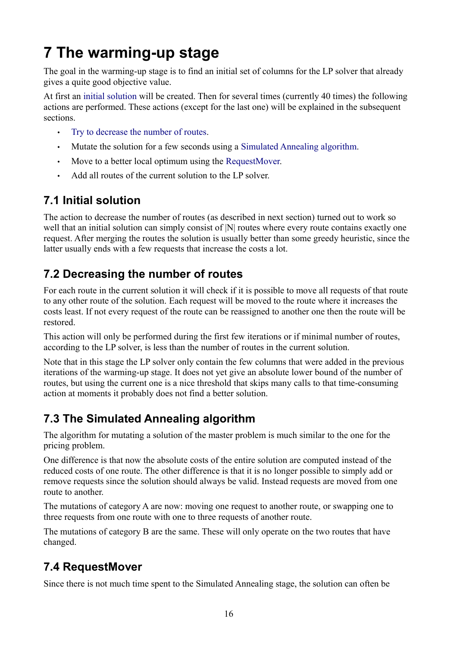# **7 The warming-up stage**

The goal in the warming-up stage is to find an initial set of columns for the LP solver that already gives a quite good objective value.

At first an [initial solution](#page-15-3) will be created. Then for several times (currently 40 times) the following actions are performed. These actions (except for the last one) will be explained in the subsequent sections.

- <span id="page-15-3"></span><span id="page-15-2"></span><span id="page-15-1"></span>• [Try to decrease the number of routes.](#page-15-2)
- Mutate the solution for a few seconds using a [Simulated Annealing algorithm.](#page-15-1)
- <span id="page-15-0"></span>• Move to a better local optimum using the [RequestMover.](#page-15-0)
- Add all routes of the current solution to the LP solver.

### **7.1 Initial solution**

The action to decrease the number of routes (as described in next section) turned out to work so well that an initial solution can simply consist of  $|N|$  routes where every route contains exactly one request. After merging the routes the solution is usually better than some greedy heuristic, since the latter usually ends with a few requests that increase the costs a lot.

### **7.2 Decreasing the number of routes**

For each route in the current solution it will check if it is possible to move all requests of that route to any other route of the solution. Each request will be moved to the route where it increases the costs least. If not every request of the route can be reassigned to another one then the route will be restored.

This action will only be performed during the first few iterations or if minimal number of routes, according to the LP solver, is less than the number of routes in the current solution.

Note that in this stage the LP solver only contain the few columns that were added in the previous iterations of the warming-up stage. It does not yet give an absolute lower bound of the number of routes, but using the current one is a nice threshold that skips many calls to that time-consuming action at moments it probably does not find a better solution.

### **7.3 The Simulated Annealing algorithm**

The algorithm for mutating a solution of the master problem is much similar to the one for the pricing problem.

One difference is that now the absolute costs of the entire solution are computed instead of the reduced costs of one route. The other difference is that it is no longer possible to simply add or remove requests since the solution should always be valid. Instead requests are moved from one route to another.

The mutations of category A are now: moving one request to another route, or swapping one to three requests from one route with one to three requests of another route.

The mutations of category B are the same. These will only operate on the two routes that have changed.

### **7.4 RequestMover**

Since there is not much time spent to the Simulated Annealing stage, the solution can often be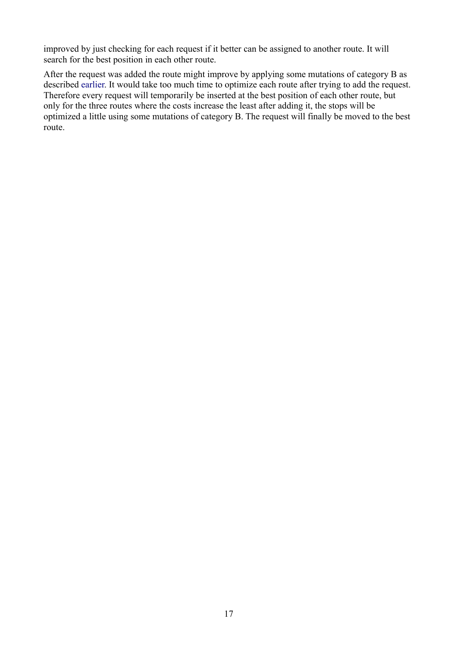improved by just checking for each request if it better can be assigned to another route. It will search for the best position in each other route.

<span id="page-16-0"></span>After the request was added the route might improve by applying some mutations of category B as described [earlier.](#page-16-0) It would take too much time to optimize each route after trying to add the request. Therefore every request will temporarily be inserted at the best position of each other route, but only for the three routes where the costs increase the least after adding it, the stops will be optimized a little using some mutations of category B. The request will finally be moved to the best route.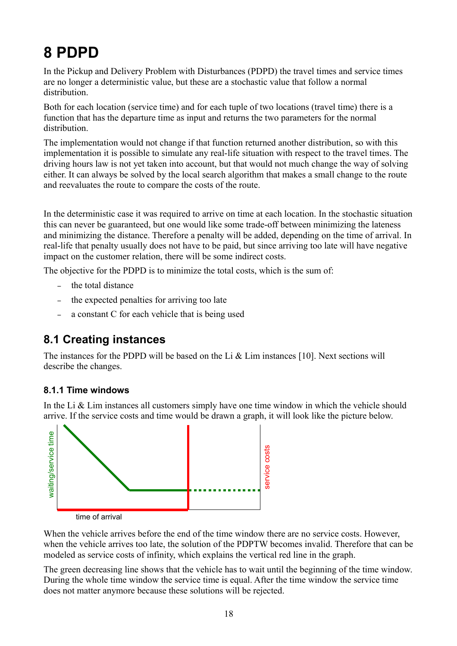# **8 PDPD**

In the Pickup and Delivery Problem with Disturbances (PDPD) the travel times and service times are no longer a deterministic value, but these are a stochastic value that follow a normal distribution.

Both for each location (service time) and for each tuple of two locations (travel time) there is a function that has the departure time as input and returns the two parameters for the normal distribution.

The implementation would not change if that function returned another distribution, so with this implementation it is possible to simulate any real-life situation with respect to the travel times. The driving hours law is not yet taken into account, but that would not much change the way of solving either. It can always be solved by the local search algorithm that makes a small change to the route and reevaluates the route to compare the costs of the route.

In the deterministic case it was required to arrive on time at each location. In the stochastic situation this can never be guaranteed, but one would like some trade-off between minimizing the lateness and minimizing the distance. Therefore a penalty will be added, depending on the time of arrival. In real-life that penalty usually does not have to be paid, but since arriving too late will have negative impact on the customer relation, there will be some indirect costs.

The objective for the PDPD is to minimize the total costs, which is the sum of:

- the total distance
- the expected penalties for arriving too late
- a constant C for each vehicle that is being used

### **8.1 Creating instances**

The instances for the PDPD will be based on the Li  $&$  Lim instances [10]. Next sections will describe the changes.

#### **8.1.1 Time windows**

In the Li  $&$  Lim instances all customers simply have one time window in which the vehicle should arrive. If the service costs and time would be drawn a graph, it will look like the picture below.



time of arrival

When the vehicle arrives before the end of the time window there are no service costs. However, when the vehicle arrives too late, the solution of the PDPTW becomes invalid. Therefore that can be modeled as service costs of infinity, which explains the vertical red line in the graph.

The green decreasing line shows that the vehicle has to wait until the beginning of the time window. During the whole time window the service time is equal. After the time window the service time does not matter anymore because these solutions will be rejected.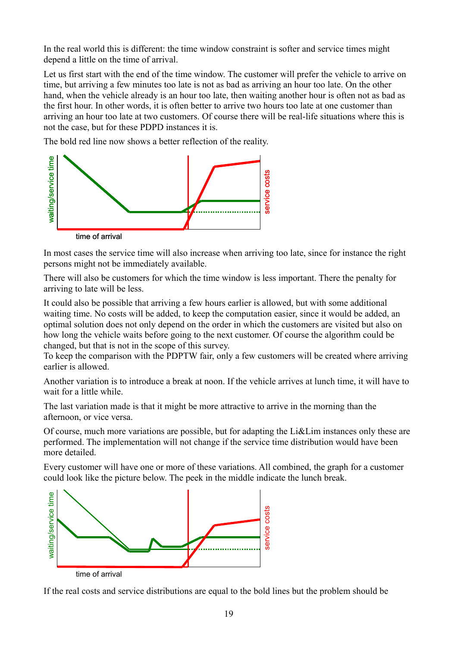In the real world this is different: the time window constraint is softer and service times might depend a little on the time of arrival.

Let us first start with the end of the time window. The customer will prefer the vehicle to arrive on time, but arriving a few minutes too late is not as bad as arriving an hour too late. On the other hand, when the vehicle already is an hour too late, then waiting another hour is often not as bad as the first hour. In other words, it is often better to arrive two hours too late at one customer than arriving an hour too late at two customers. Of course there will be real-life situations where this is not the case, but for these PDPD instances it is.

The bold red line now shows a better reflection of the reality.



In most cases the service time will also increase when arriving too late, since for instance the right persons might not be immediately available.

There will also be customers for which the time window is less important. There the penalty for arriving to late will be less.

It could also be possible that arriving a few hours earlier is allowed, but with some additional waiting time. No costs will be added, to keep the computation easier, since it would be added, an optimal solution does not only depend on the order in which the customers are visited but also on how long the vehicle waits before going to the next customer. Of course the algorithm could be changed, but that is not in the scope of this survey.

To keep the comparison with the PDPTW fair, only a few customers will be created where arriving earlier is allowed.

Another variation is to introduce a break at noon. If the vehicle arrives at lunch time, it will have to wait for a little while.

The last variation made is that it might be more attractive to arrive in the morning than the afternoon, or vice versa.

Of course, much more variations are possible, but for adapting the Li&Lim instances only these are performed. The implementation will not change if the service time distribution would have been more detailed.

Every customer will have one or more of these variations. All combined, the graph for a customer could look like the picture below. The peek in the middle indicate the lunch break.



If the real costs and service distributions are equal to the bold lines but the problem should be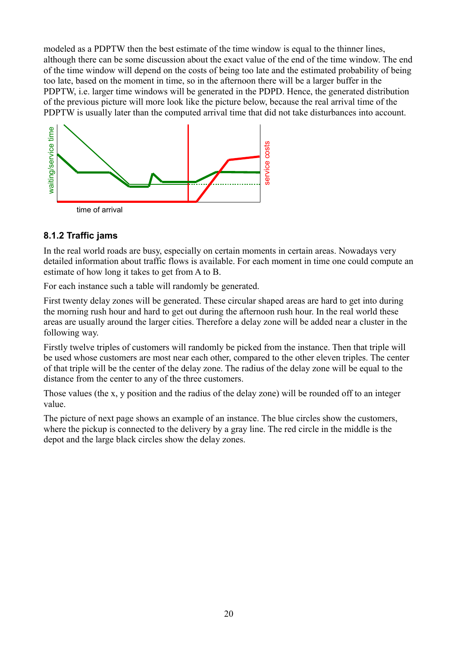modeled as a PDPTW then the best estimate of the time window is equal to the thinner lines, although there can be some discussion about the exact value of the end of the time window. The end of the time window will depend on the costs of being too late and the estimated probability of being too late, based on the moment in time, so in the afternoon there will be a larger buffer in the PDPTW, i.e. larger time windows will be generated in the PDPD. Hence, the generated distribution of the previous picture will more look like the picture below, because the real arrival time of the PDPTW is usually later than the computed arrival time that did not take disturbances into account.



#### **8.1.2 Traffic jams**

In the real world roads are busy, especially on certain moments in certain areas. Nowadays very detailed information about traffic flows is available. For each moment in time one could compute an estimate of how long it takes to get from A to B.

For each instance such a table will randomly be generated.

First twenty delay zones will be generated. These circular shaped areas are hard to get into during the morning rush hour and hard to get out during the afternoon rush hour. In the real world these areas are usually around the larger cities. Therefore a delay zone will be added near a cluster in the following way.

Firstly twelve triples of customers will randomly be picked from the instance. Then that triple will be used whose customers are most near each other, compared to the other eleven triples. The center of that triple will be the center of the delay zone. The radius of the delay zone will be equal to the distance from the center to any of the three customers.

Those values (the x, y position and the radius of the delay zone) will be rounded off to an integer value.

The picture of next page shows an example of an instance. The blue circles show the customers, where the pickup is connected to the delivery by a gray line. The red circle in the middle is the depot and the large black circles show the delay zones.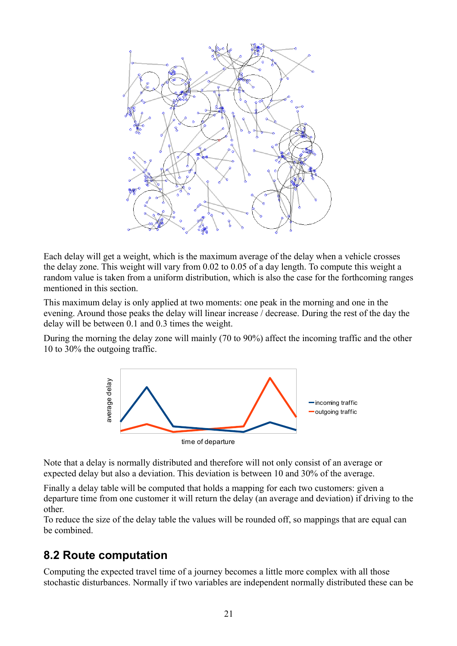

Each delay will get a weight, which is the maximum average of the delay when a vehicle crosses the delay zone. This weight will vary from 0.02 to 0.05 of a day length. To compute this weight a random value is taken from a uniform distribution, which is also the case for the forthcoming ranges mentioned in this section.

This maximum delay is only applied at two moments: one peak in the morning and one in the evening. Around those peaks the delay will linear increase / decrease. During the rest of the day the delay will be between 0.1 and 0.3 times the weight.

During the morning the delay zone will mainly (70 to 90%) affect the incoming traffic and the other 10 to 30% the outgoing traffic.



Note that a delay is normally distributed and therefore will not only consist of an average or expected delay but also a deviation. This deviation is between 10 and 30% of the average.

Finally a delay table will be computed that holds a mapping for each two customers: given a departure time from one customer it will return the delay (an average and deviation) if driving to the other.

To reduce the size of the delay table the values will be rounded off, so mappings that are equal can be combined.

### **8.2 Route computation**

Computing the expected travel time of a journey becomes a little more complex with all those stochastic disturbances. Normally if two variables are independent normally distributed these can be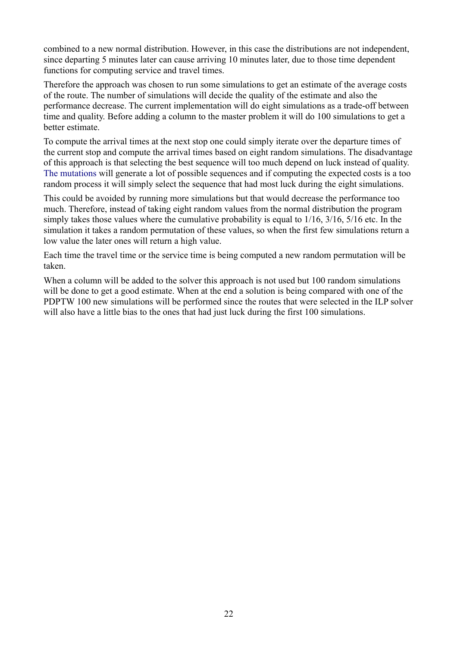combined to a new normal distribution. However, in this case the distributions are not independent, since departing 5 minutes later can cause arriving 10 minutes later, due to those time dependent functions for computing service and travel times.

Therefore the approach was chosen to run some simulations to get an estimate of the average costs of the route. The number of simulations will decide the quality of the estimate and also the performance decrease. The current implementation will do eight simulations as a trade-off between time and quality. Before adding a column to the master problem it will do 100 simulations to get a better estimate.

To compute the arrival times at the next stop one could simply iterate over the departure times of the current stop and compute the arrival times based on eight random simulations. The disadvantage of this approach is that selecting the best sequence will too much depend on luck instead of quality. [The mutations](#page-21-0) will generate a lot of possible sequences and if computing the expected costs is a too random process it will simply select the sequence that had most luck during the eight simulations.

<span id="page-21-0"></span>This could be avoided by running more simulations but that would decrease the performance too much. Therefore, instead of taking eight random values from the normal distribution the program simply takes those values where the cumulative probability is equal to 1/16, 3/16, 5/16 etc. In the simulation it takes a random permutation of these values, so when the first few simulations return a low value the later ones will return a high value.

Each time the travel time or the service time is being computed a new random permutation will be taken.

When a column will be added to the solver this approach is not used but 100 random simulations will be done to get a good estimate. When at the end a solution is being compared with one of the PDPTW 100 new simulations will be performed since the routes that were selected in the ILP solver will also have a little bias to the ones that had just luck during the first 100 simulations.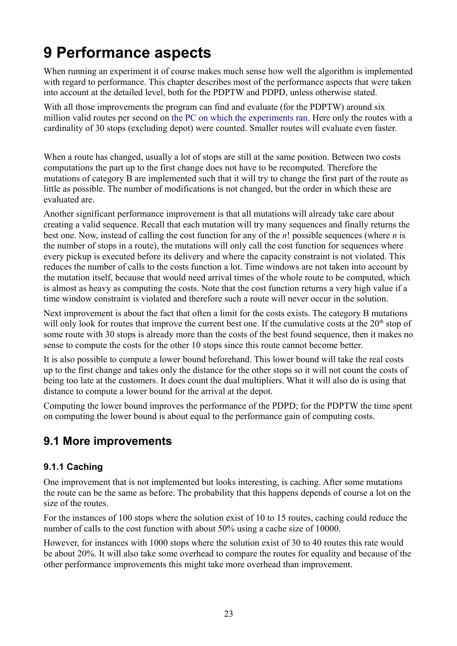# **9 Performance aspects**

When running an experiment it of course makes much sense how well the algorithm is implemented with regard to performance. This chapter describes most of the performance aspects that were taken into account at the detailed level, both for the PDPTW and PDPD, unless otherwise stated.

With all those improvements the program can find and evaluate (for the PDPTW) around six million valid routes per second on [the PC on which the experiments ran.](#page-27-0) Here only the routes with a cardinality of 30 stops (excluding depot) were counted. Smaller routes will evaluate even faster.

When a route has changed, usually a lot of stops are still at the same position. Between two costs computations the part up to the first change does not have to be recomputed. Therefore the mutations of category B are implemented such that it will try to change the first part of the route as little as possible. The number of modifications is not changed, but the order in which these are evaluated are.

Another significant performance improvement is that all mutations will already take care about creating a valid sequence. Recall that each mutation will try many sequences and finally returns the best one. Now, instead of calling the cost function for any of the *n*! possible sequences (where *n* is the number of stops in a route), the mutations will only call the cost function for sequences where every pickup is executed before its delivery and where the capacity constraint is not violated. This reduces the number of calls to the costs function a lot. Time windows are not taken into account by the mutation itself, because that would need arrival times of the whole route to be computed, which is almost as heavy as computing the costs. Note that the cost function returns a very high value if a time window constraint is violated and therefore such a route will never occur in the solution.

Next improvement is about the fact that often a limit for the costs exists. The category B mutations will only look for routes that improve the current best one. If the cumulative costs at the 20<sup>th</sup> stop of some route with 30 stops is already more than the costs of the best found sequence, then it makes no sense to compute the costs for the other 10 stops since this route cannot become better.

It is also possible to compute a lower bound beforehand. This lower bound will take the real costs up to the first change and takes only the distance for the other stops so it will not count the costs of being too late at the customers. It does count the dual multipliers. What it will also do is using that distance to compute a lower bound for the arrival at the depot.

Computing the lower bound improves the performance of the PDPD; for the PDPTW the time spent on computing the lower bound is about equal to the performance gain of computing costs.

### **9.1 More improvements**

#### **9.1.1 Caching**

One improvement that is not implemented but looks interesting, is caching. After some mutations the route can be the same as before. The probability that this happens depends of course a lot on the size of the routes.

For the instances of 100 stops where the solution exist of 10 to 15 routes, caching could reduce the number of calls to the cost function with about 50% using a cache size of 10000.

However, for instances with 1000 stops where the solution exist of 30 to 40 routes this rate would be about 20%. It will also take some overhead to compare the routes for equality and because of the other performance improvements this might take more overhead than improvement.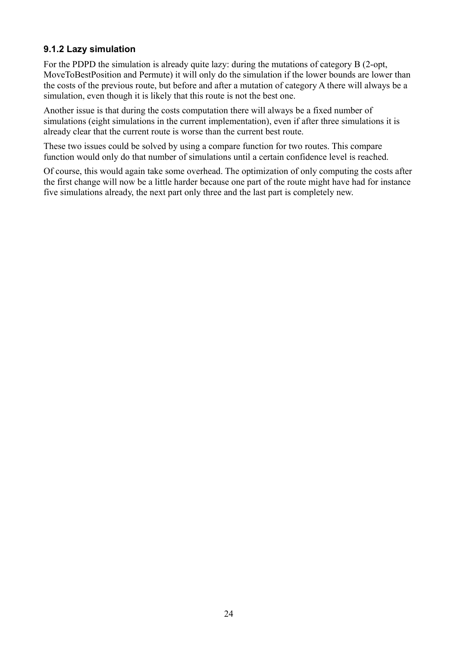#### **9.1.2 Lazy simulation**

For the PDPD the simulation is already quite lazy: during the mutations of category B (2-opt, MoveToBestPosition and Permute) it will only do the simulation if the lower bounds are lower than the costs of the previous route, but before and after a mutation of category A there will always be a simulation, even though it is likely that this route is not the best one.

Another issue is that during the costs computation there will always be a fixed number of simulations (eight simulations in the current implementation), even if after three simulations it is already clear that the current route is worse than the current best route.

These two issues could be solved by using a compare function for two routes. This compare function would only do that number of simulations until a certain confidence level is reached.

Of course, this would again take some overhead. The optimization of only computing the costs after the first change will now be a little harder because one part of the route might have had for instance five simulations already, the next part only three and the last part is completely new.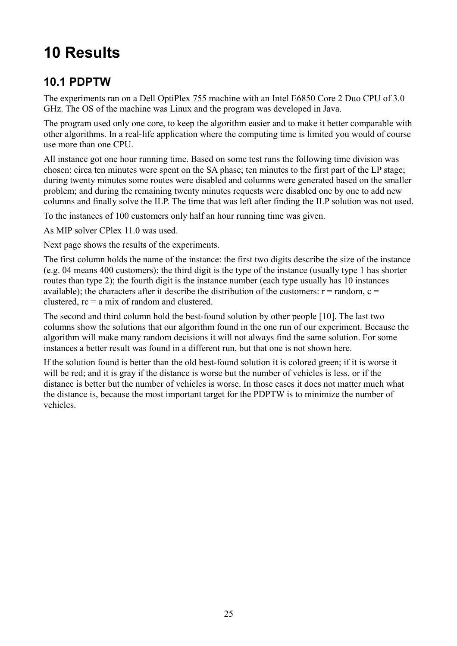# **10 Results**

## **10.1 PDPTW**

The experiments ran on a Dell OptiPlex 755 machine with an Intel E6850 Core 2 Duo CPU of 3.0 GHz. The OS of the machine was Linux and the program was developed in Java.

The program used only one core, to keep the algorithm easier and to make it better comparable with other algorithms. In a real-life application where the computing time is limited you would of course use more than one CPU.

All instance got one hour running time. Based on some test runs the following time division was chosen: circa ten minutes were spent on the SA phase; ten minutes to the first part of the LP stage; during twenty minutes some routes were disabled and columns were generated based on the smaller problem; and during the remaining twenty minutes requests were disabled one by one to add new columns and finally solve the ILP. The time that was left after finding the ILP solution was not used.

To the instances of 100 customers only half an hour running time was given.

As MIP solver CPlex 11.0 was used.

Next page shows the results of the experiments.

The first column holds the name of the instance: the first two digits describe the size of the instance (e.g. 04 means 400 customers); the third digit is the type of the instance (usually type 1 has shorter routes than type 2); the fourth digit is the instance number (each type usually has 10 instances available); the characters after it describe the distribution of the customers:  $r =$  random,  $c =$ clustered,  $rc = a mix of random and clustered$ .

The second and third column hold the best-found solution by other people [10]. The last two columns show the solutions that our algorithm found in the one run of our experiment. Because the algorithm will make many random decisions it will not always find the same solution. For some instances a better result was found in a different run, but that one is not shown here.

If the solution found is better than the old best-found solution it is colored green; if it is worse it will be red; and it is gray if the distance is worse but the number of vehicles is less, or if the distance is better but the number of vehicles is worse. In those cases it does not matter much what the distance is, because the most important target for the PDPTW is to minimize the number of vehicles.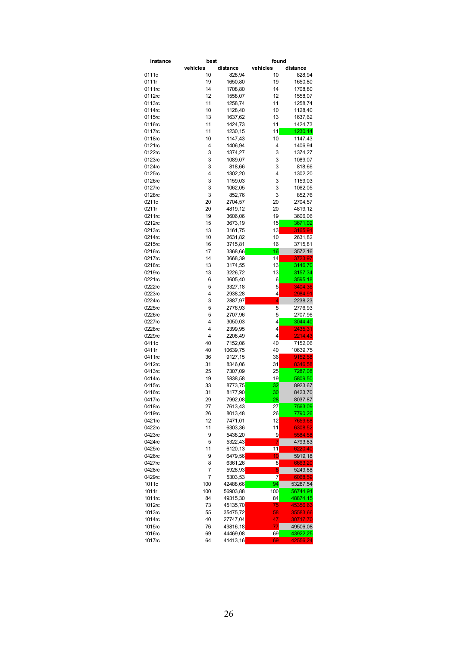| instance |          | best               |          | found    |  |
|----------|----------|--------------------|----------|----------|--|
|          | vehicles | distance           | vehicles | distance |  |
| 0111c    | 10       | 828,94             | 10       | 828,94   |  |
| 0111r    | 19       | 1650,80            | 19       | 1650,80  |  |
| 0111rc   | 14       | 1708,80            | 14       | 1708,80  |  |
| 0112rc   | 12       | 1558,07            | 12       | 1558,07  |  |
| 0113rc   | 11       | 1258,74            | 11       | 1258,74  |  |
| 0114rc   | 10       | 1128,40            | 10       | 1128,40  |  |
| 0115rc   | 13       | 1637,62            | 13       | 1637,62  |  |
| 0116rc   | 11       | 1424,73            | 11       | 1424,73  |  |
| 0117rc   | 11       |                    | 11       |          |  |
|          |          | 1230, 15           |          | 1230,14  |  |
| 0118rc   | 10       | 1147,43            | 10       | 1147,43  |  |
| 0121rc   | 4        | 1406,94            | 4        | 1406,94  |  |
| 0122rc   | 3        | 1374,27            | 3        | 1374,27  |  |
| 0123rc   | 3        | 1089,07            | 3        | 1089,07  |  |
| 0124rc   | 3        | 818,66             | 3        | 818,66   |  |
| 0125rc   | 4        | 1302,20            | 4        | 1302,20  |  |
| 0126rc   | 3        | 1159,03            | 3        | 1159,03  |  |
| 0127rc   | 3        | 1062,05            | 3        | 1062,05  |  |
| 0128rc   | 3        | 852,76             | 3        | 852,76   |  |
| 0211c    | 20       | 2704,57            | 20       | 2704,57  |  |
| 0211r    | 20       | 4819,12            | 20       | 4819,12  |  |
| 0211rc   | 19       | 3606,06            | 19       | 3606,06  |  |
| 0212rc   | 15       | 3673,19            | 15       | 3671,02  |  |
| 0213rc   | 13       | 3161,75            | 13       | 3165,91  |  |
| 0214rc   | 10       | 2631,82            | 10       | 2631,82  |  |
| 0215rc   | 16       | 3715,81            | 16       | 3715,81  |  |
| 0216rc   | 17       | 3368.66            | 16       | 3572,16  |  |
| 0217rc   | 14       |                    | 14       | 3723,97  |  |
|          |          | 3668,39<br>3174.55 |          |          |  |
| 0218rc   | 13       |                    | 13       | 3146,70  |  |
| 0219rc   | 13       | 3226,72            | 13       | 3157,34  |  |
| 0221rc   | 6        | 3605,40            | 6        | 3595,18  |  |
| 0222rc   | 5        | 3327,18            | 5        | 3404,36  |  |
| 0223rc   | 4        | 2938,28            | 4        | 2984,91  |  |
| 0224rc   | 3        | 2887,97            | 4        | 2238,23  |  |
| 0225rc   | 5        | 2776,93            | 5        | 2776,93  |  |
| 0226rc   | 5        | 2707,96            | 5        | 2707,96  |  |
| 0227rc   | 4        | 3050,03            | 4        | 3044,40  |  |
| 0228rc   | 4        | 2399,95            | 4        | 2435,31  |  |
| 0229rc   | 4        | 2208,49            | 4        | 2214,43  |  |
| 0411c    | 40       | 7152,06            | 40       | 7152,06  |  |
| 0411r    | 40       | 10639,75           | 40       | 10639,75 |  |
| 0411rc   | 36       | 9127,15            | 36       | 9152,58  |  |
| 0412rc   | 31       | 8346,06            | 31       | 8346,58  |  |
| 0413rc   | 25       | 7307,09            | 25       | 7287,08  |  |
| 0414rc   | 19       | 5838,58            | 19       | 5809,50  |  |
| 0415rc   | 33       | 8773,75            | 32       | 8923,67  |  |
| 0416rc   | 31       | 8177,90            | 30       | 8423,70  |  |
| 0417rc   | 29       |                    | 28       |          |  |
|          |          | 7992,08            |          | 8037,87  |  |
| 0418rc   | 27       | 7613,43            | 27       | 7563,09  |  |
| 0419rc   | 26       | 8013,48            | 26       | 7790,26  |  |
| 0421rc   | 12       | 7471,01            | 12       | 7659,68  |  |
| 0422rc   | 11       | 6303,36            | 11       | 6308,52  |  |
| 0423rc   | 9        | 5438,20            | 9        | 5584,58  |  |
| 0424rc   | 5        | 5322,43            | 7        | 4793,83  |  |
| 0425rc   | 11       | 6120,13            | 11       | 6220,40  |  |
| 0426rc   | 9        | 6479,56            | $10 \,$  | 5919,18  |  |
| 0427rc   | 8        | 6361,26            | 8        | 6663,20  |  |
| 0428rc   | 7        | 5928,93            | 8        | 5249,88  |  |
| 0429rc   | 7        | 5303,53            | 7        | 6068,59  |  |
| 1011c    | 100      | 42488,66           | 94       | 53287,54 |  |
| 1011r    | 100      | 56903,88           | 100      | 56744,91 |  |
| 1011rc   | 84       | 49315,30           | 84       | 48874,15 |  |
| 1012rc   | 73       | 45135,70           | 75       | 45356,63 |  |
| 1013rc   | 55       |                    | 58       |          |  |
|          |          | 35475,72           |          | 35583,66 |  |
| 1014rc   | 40       | 27747,04           | 47       | 30717,70 |  |
| 1015rc   | 76       | 49816,18           | 77       | 49506,08 |  |
| 1016rc   | 69       | 44469,08           | 69       | 43922,25 |  |
| 1017rc   | 64       | 41413,16           | 69       | 42556,24 |  |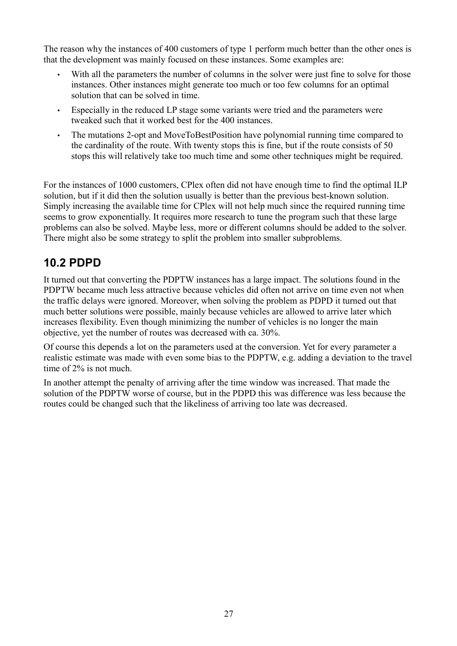The reason why the instances of 400 customers of type 1 perform much better than the other ones is that the development was mainly focused on these instances. Some examples are:

- With all the parameters the number of columns in the solver were just fine to solve for those instances. Other instances might generate too much or too few columns for an optimal solution that can be solved in time.
- Especially in the reduced LP stage some variants were tried and the parameters were tweaked such that it worked best for the 400 instances.
- The mutations 2-opt and MoveToBestPosition have polynomial running time compared to the cardinality of the route. With twenty stops this is fine, but if the route consists of 50 stops this will relatively take too much time and some other techniques might be required.

For the instances of 1000 customers, CPlex often did not have enough time to find the optimal ILP solution, but if it did then the solution usually is better than the previous best-known solution. Simply increasing the available time for CPlex will not help much since the required running time seems to grow exponentially. It requires more research to tune the program such that these large problems can also be solved. Maybe less, more or different columns should be added to the solver. There might also be some strategy to split the problem into smaller subproblems.

### **10.2 PDPD**

It turned out that converting the PDPTW instances has a large impact. The solutions found in the PDPTW became much less attractive because vehicles did often not arrive on time even not when the traffic delays were ignored. Moreover, when solving the problem as PDPD it turned out that much better solutions were possible, mainly because vehicles are allowed to arrive later which increases flexibility. Even though minimizing the number of vehicles is no longer the main objective, yet the number of routes was decreased with ca. 30%.

Of course this depends a lot on the parameters used at the conversion. Yet for every parameter a realistic estimate was made with even some bias to the PDPTW, e.g. adding a deviation to the travel time of 2% is not much.

In another attempt the penalty of arriving after the time window was increased. That made the solution of the PDPTW worse of course, but in the PDPD this was difference was less because the routes could be changed such that the likeliness of arriving too late was decreased.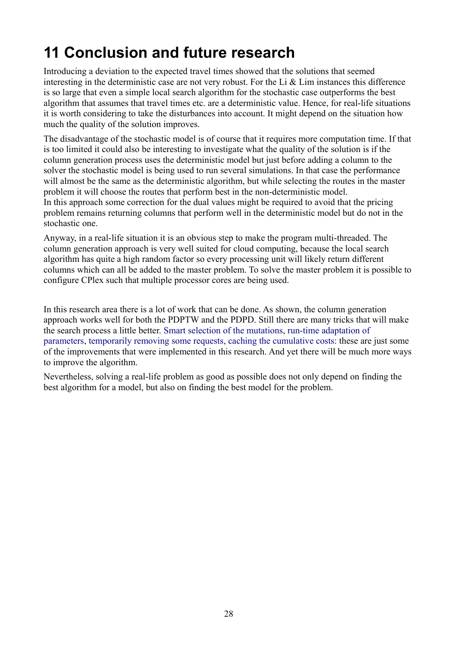# <span id="page-27-0"></span>**11 Conclusion and future research**

Introducing a deviation to the expected travel times showed that the solutions that seemed interesting in the deterministic case are not very robust. For the Li  $&$  Lim instances this difference is so large that even a simple local search algorithm for the stochastic case outperforms the best algorithm that assumes that travel times etc. are a deterministic value. Hence, for real-life situations it is worth considering to take the disturbances into account. It might depend on the situation how much the quality of the solution improves.

The disadvantage of the stochastic model is of course that it requires more computation time. If that is too limited it could also be interesting to investigate what the quality of the solution is if the column generation process uses the deterministic model but just before adding a column to the solver the stochastic model is being used to run several simulations. In that case the performance will almost be the same as the deterministic algorithm, but while selecting the routes in the master problem it will choose the routes that perform best in the non-deterministic model. In this approach some correction for the dual values might be required to avoid that the pricing problem remains returning columns that perform well in the deterministic model but do not in the stochastic one.

Anyway, in a real-life situation it is an obvious step to make the program multi-threaded. The column generation approach is very well suited for cloud computing, because the local search algorithm has quite a high random factor so every processing unit will likely return different columns which can all be added to the master problem. To solve the master problem it is possible to configure CPlex such that multiple processor cores are being used.

<span id="page-27-2"></span><span id="page-27-1"></span>In this research area there is a lot of work that can be done. As shown, the column generation approach works well for both the PDPTW and the PDPD. Still there are many tricks that will make the search process a little better. [Smart selection of the mutations,](#page-12-0) [run-time adaptation of](#page-27-2) [parameters,](#page-27-2) [temporarily removing some requests,](#page-14-1) [caching the cumulative costs:](#page-27-1) these are just some of the improvements that were implemented in this research. And yet there will be much more ways to improve the algorithm.

Nevertheless, solving a real-life problem as good as possible does not only depend on finding the best algorithm for a model, but also on finding the best model for the problem.